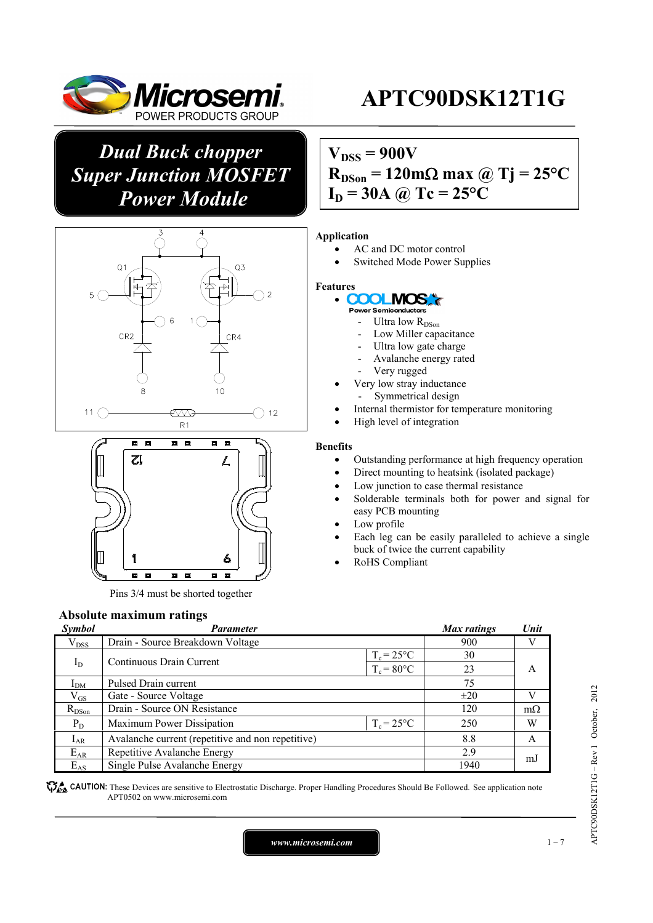

*Dual Buck chopper Super Junction MOSFET Power Module* 





Pins 3/4 must be shorted together

# **Absolute maximum ratings**

#### **Parameter** Max ratings Unit **Max ratings**  $V_{\text{DSS}}$  Drain - Source Breakdown Voltage 900 V  $I_D$  Continuous Drain Current  $T_c = 25^{\circ}C$  30<br> $T_c = 80^{\circ}C$  23  $T_c = 80$ °C  $\frac{I_{DM}}{V_{GS}}$  Pulsed Drain current 75<br>  $\frac{I_{DM}}{V_{GS}}$  Gate - Source Voltage  $\frac{+20}{2}$ A  $V_{GS}$  Gate - Source Voltage  $\qquad \qquad \pm 20$  V<br>  $R_{DSon}$  Drain - Source ON Resistance  $\qquad \qquad 120$  Ms Drain - Source ON Resistance 120 m $\Omega$  $P_D$  Maximum Power Dissipation  $T_c = 25^{\circ}C$  250 W  $I_{AR}$  | Avalanche current (repetitive and non repetitive) 8.8 A  $E_{AR}$  Repetitive Avalanche Energy 2.9<br>  $E_{AS}$  Single Pulse Avalanche Energy 1940 Experience Avalanche Energy 2.5<br>
Single Pulse Avalanche Energy 1940 mJ

**These** CAUTION: These Devices are sensitive to Electrostatic Discharge. Proper Handling Procedures Should Be Followed. See application note APT0502 on www.microsemi.com

# **APTC90DSK12T1G**

# $V_{DSS} = 900V$  $R_{DSon} = 120 \text{m}\Omega \text{ max}$  @ Tj = 25<sup>o</sup>C  $I_D = 30A$  *(a)*  $Tc = 25^{\circ}C$

### **Application**

- AC and DC motor control
- Switched Mode Power Supplies

#### **Features**

#### $\bullet$ **COOL MOS**

- **Power Semig**
- Ultra low R<sub>DSon</sub>
- Low Miller capacitance
- Ultra low gate charge
- Avalanche energy rated
- Very rugged
- Very low stray inductance
- Symmetrical design
- Internal thermistor for temperature monitoring
- High level of integration

#### **Benefits**

- Outstanding performance at high frequency operation
- Direct mounting to heatsink (isolated package)
- Low junction to case thermal resistance
- Solderable terminals both for power and signal for easy PCB mounting
- Low profile
- Each leg can be easily paralleled to achieve a single buck of twice the current capability
- RoHS Compliant

APTC90DSK12T1G – Rev 1 October, 2012

APTC90DSK12T1G-Rev 1 October, 2012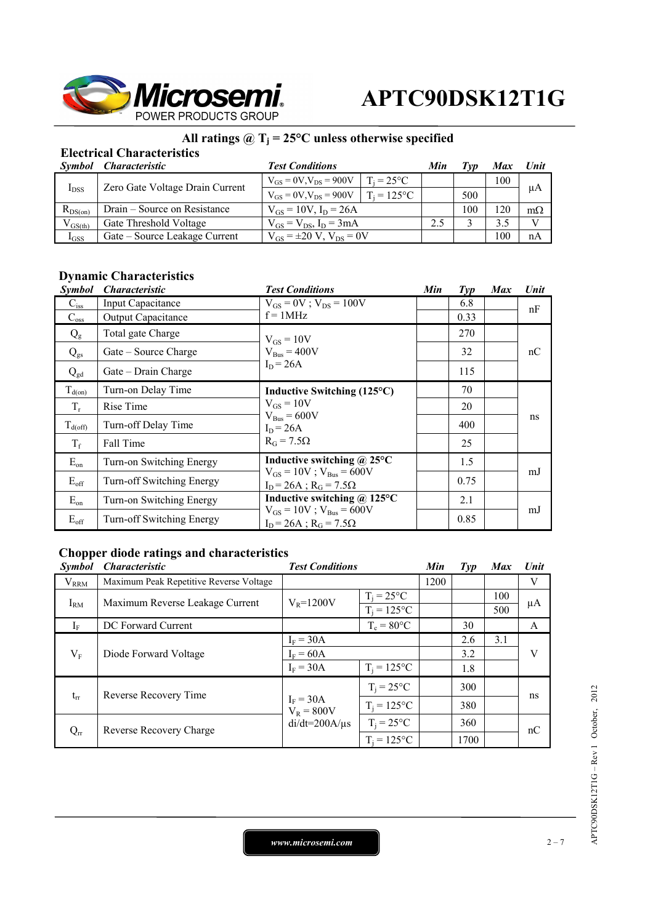

### All ratings  $\omega$  T<sub>j</sub> = 25°C unless otherwise specified

# **Electrical Characteristics**

| Symbol       | <i><b>Characteristic</b></i>    | <b>Test Conditions</b>                                 | Min | Tvv | <b>Max</b> | Unit         |
|--------------|---------------------------------|--------------------------------------------------------|-----|-----|------------|--------------|
| $I_{DSS}$    | Zero Gate Voltage Drain Current | $T_i = 25^{\circ}C$<br>$V_{GS} = 0V$ , $V_{DS} = 900V$ |     |     | 100        | μA           |
|              |                                 | $T_i = 125$ °C<br>$V_{GS} = 0V$ , $V_{DS} = 900V$      |     | 500 |            |              |
| $R_{DS(on)}$ | Drain – Source on Resistance    | $V_{GS} = 10V$ , $I_D = 26A$                           |     | 100 | 20         | $m\Omega$    |
| $V_{GS(th)}$ | Gate Threshold Voltage          | $V_{GS} = V_{DS}$ , $I_D = 3mA$                        | 2.5 |     | 3.5        | $\mathbf{V}$ |
| $I_{GSS}$    | Gate – Source Leakage Current   | $V_{GS} = \pm 20 V$ , $V_{DS} = 0V$                    |     |     | 100        | nA           |

## **Dynamic Characteristics**

| <i>Symbol</i> | <i><b>Characteristic</b></i> | <b>Test Conditions</b>                                                                                    | Min | $\mathcal{I}yp$ | <b>Max</b> | Unit |
|---------------|------------------------------|-----------------------------------------------------------------------------------------------------------|-----|-----------------|------------|------|
| $C_{iss}$     | Input Capacitance            | $V_{GS} = 0V$ ; $V_{DS} = 100V$                                                                           |     | 6.8             |            | nF   |
| $C_{\rm oss}$ | Output Capacitance           | $f = 1MHz$                                                                                                |     | 0.33            |            |      |
| $Q_{\rm g}$   | Total gate Charge            | $V_{GS} = 10V$                                                                                            |     | 270             |            |      |
| $Q_{gs}$      | Gate – Source Charge         | $V_{\text{Bus}} = 400V$                                                                                   |     | 32              |            | nC   |
| $Q_{gd}$      | Gate – Drain Charge          | $I_D = 26A$                                                                                               |     | 115             |            |      |
| $T_{d(0n)}$   | Turn-on Delay Time           | Inductive Switching (125°C)                                                                               |     | 70              |            | ns   |
| $T_r$         | Rise Time                    | $V_{GS} = 10V$<br>$V_{\text{Bus}} = 600V$<br>$I_D = 26A$<br>$R_G = 7.5\Omega$                             |     | 20              |            |      |
| $T_{d(off)}$  | Turn-off Delay Time          |                                                                                                           |     | 400             |            |      |
| $T_f$         | Fall Time                    |                                                                                                           |     | 25              |            |      |
| $E_{on}$      | Turn-on Switching Energy     | Inductive switching $\omega$ 25°C<br>$V_{GS} = 10V$ ; $V_{Bus} = 600V$<br>$I_D = 26A$ ; $R_G = 7.5\Omega$ |     | 1.5             |            | mJ   |
| $E_{\rm off}$ | Turn-off Switching Energy    |                                                                                                           |     | 0.75            |            |      |
| $E_{on}$      | Turn-on Switching Energy     | Inductive switching $\omega$ 125°C                                                                        |     | 2.1             |            |      |
| $E_{\rm off}$ | Turn-off Switching Energy    | $V_{GS} = 10V$ ; $V_{Bus} = 600V$<br>$I_D = 26A$ ; $R_G = 7.5\Omega$                                      |     | 0.85            |            | mJ   |

### **Chopper diode ratings and characteristics**

| <b>Symbol</b> | <b>Characteristic</b>                   | <b>Test Conditions</b>      |                     | Min  | $\mathcal{I}yp$ | <b>Max</b> | Unit |
|---------------|-----------------------------------------|-----------------------------|---------------------|------|-----------------|------------|------|
| $V_{RRM}$     | Maximum Peak Repetitive Reverse Voltage |                             |                     | 1200 |                 |            | V    |
| $I_{RM}$      | Maximum Reverse Leakage Current         | $V_R = 1200V$               | $T_i = 25^{\circ}C$ |      |                 | 100        | μA   |
|               |                                         |                             | $T_i = 125$ °C      |      |                 | 500        |      |
| $I_F$         | DC Forward Current                      |                             | $T_c = 80$ °C       |      | 30              |            | A    |
|               | Diode Forward Voltage                   | $I_F = 30A$                 |                     |      | 2.6             | 3.1        |      |
| $V_{F}$       |                                         | $I_F = 60A$                 |                     |      | 3.2             |            | V    |
|               |                                         | $I_F = 30A$                 | $T_i = 125$ °C      |      | 1.8             |            |      |
| $t_{rr}$      | Reverse Recovery Time                   |                             | $T_i = 25$ °C       |      | 300             |            | ns   |
|               |                                         | $I_F = 30A$<br>$V_R = 800V$ | $T_i = 125$ °C      |      | 380             |            |      |
| $Q_{rr}$      | Reverse Recovery Charge                 | $di/dt = 200A/\mu s$        | $T_i = 25$ °C       |      | 360             |            | nC   |
|               |                                         |                             | $T_i = 125$ °C      |      | 1700            |            |      |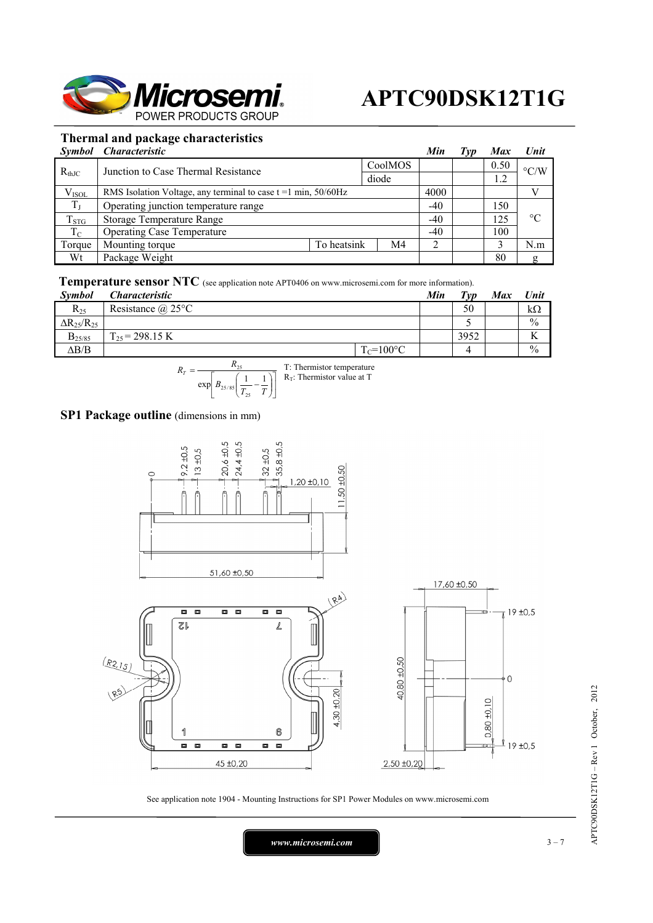

### **Thermal and package characteristics**

|             | Symbol Characteristic                                               |             |         | Min   | Typ | <b>Max</b> | Unit               |
|-------------|---------------------------------------------------------------------|-------------|---------|-------|-----|------------|--------------------|
| $R_{thJC}$  | Junction to Case Thermal Resistance                                 |             | CoolMOS |       |     | 0.50       | $\rm ^{\circ}$ C/W |
|             |                                                                     |             | diode   |       |     |            |                    |
| $V_{ISOL}$  | RMS Isolation Voltage, any terminal to case $t = 1$ min, $50/60$ Hz |             |         | 4000  |     |            |                    |
| $T_{\rm J}$ | Operating junction temperature range                                |             |         | $-40$ |     | 150        |                    |
| $T_{STG}$   | <b>Storage Temperature Range</b>                                    |             |         | $-40$ |     | 125        | $^{\circ}C$        |
| $T_{\rm C}$ | <b>Operating Case Temperature</b>                                   |             |         |       |     | 100        |                    |
| Torque      | Mounting torque                                                     | To heatsink | M4      | ◠     |     |            | N.m                |
| Wt          | Package Weight                                                      |             |         |       |     | 80         |                    |

### **Temperature sensor NTC** (see application note APT0406 on www.microsemi.com for more information).

| Symbol                 | <i>Characteristic</i>    |                | Min | $T_{VD}$ | <b>Max</b> | Unit                |
|------------------------|--------------------------|----------------|-----|----------|------------|---------------------|
| $R_{25}$               | Resistance $\omega$ 25°C |                |     | 50       |            | kΩ                  |
| $\Delta R_{25}/R_{25}$ |                          |                |     |          |            | $\frac{0}{0}$       |
| $B_{25/85}$            | $T_{25}$ = 298.15 K      |                |     | 3952     |            | $\overline{V}$<br>V |
| $\Delta B/B$           |                          | $T_c = 100$ °C |     | 4        |            | $\frac{0}{0}$       |

$$
R_T = \frac{R_{25}}{\exp\left[B_{25/85}\left(\frac{1}{T_{25}} - \frac{1}{T}\right)\right]}
$$
 T: Thermistor temperature

### **SP1 Package outline** (dimensions in mm)



See application note 1904 - Mounting Instructions for SP1 Power Modules on www.microsemi.com

*www.microsemi.com* 3-7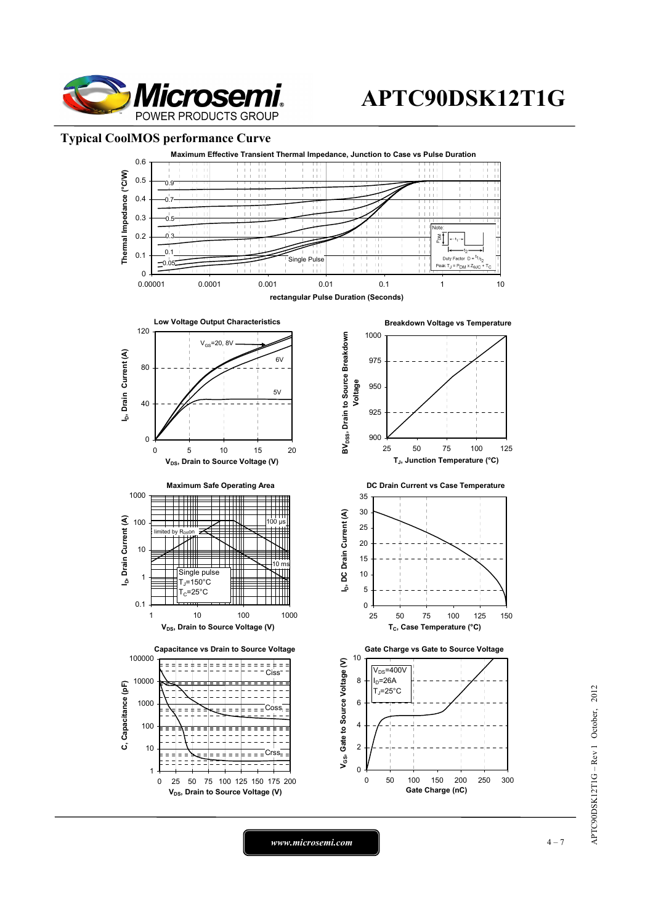

### **Typical CoolMOS performance Curve**



*www.microsemi.com* 1-7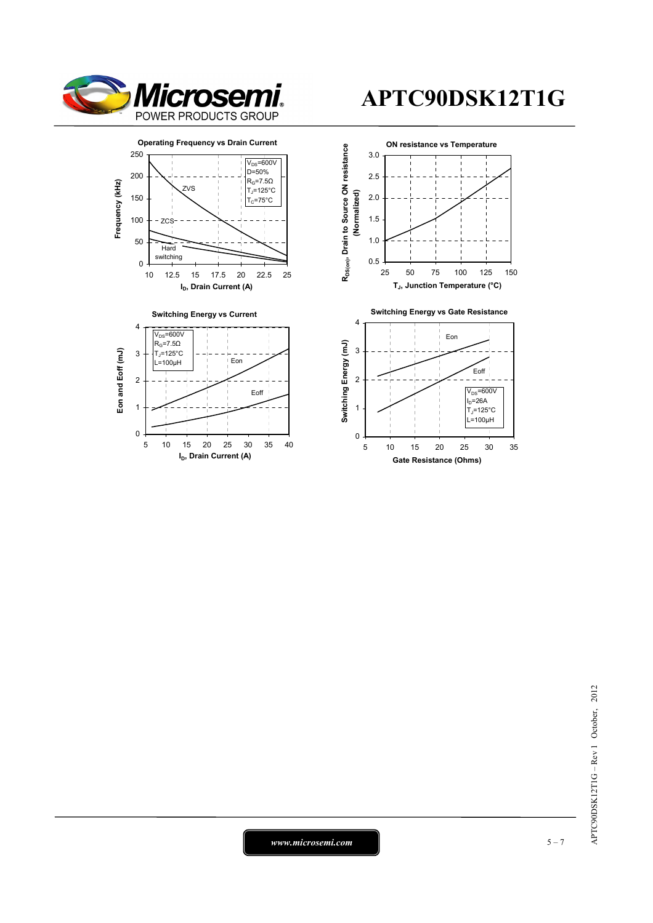

0

1

2

# **APTC90DSK12T1G**



Eoff

5 10 15 20 25 30 35 40 **I<sub>D</sub>**, Drain Current (A)



 $APTC90DSK12T1G - Rev 1 October, 2012$ APTC90DSK12T1G – Rev 1 October, 2012

*www.microsemi.com* 5-7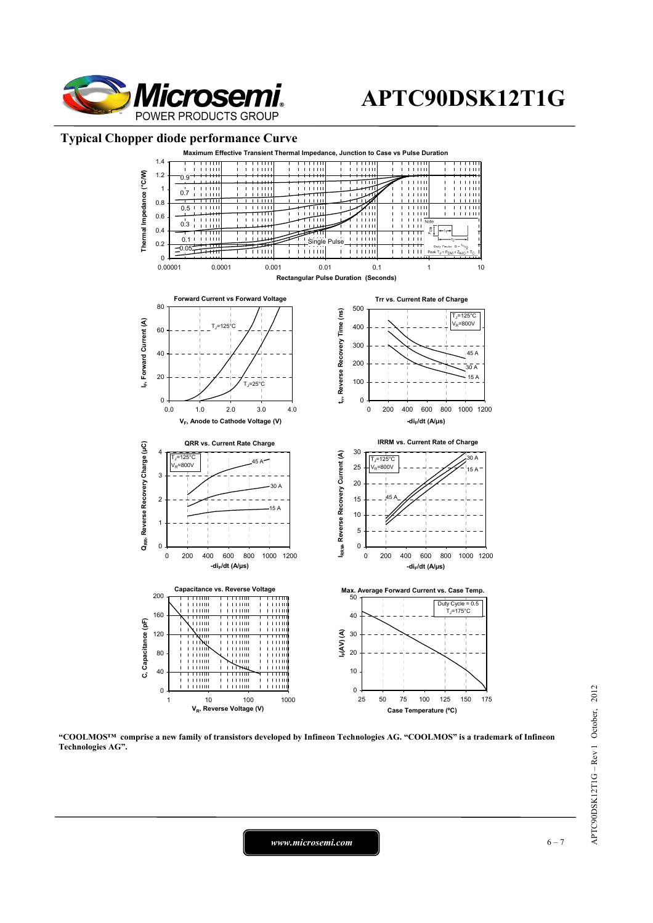

### **Typical Chopper diode performance Curve**



**"COOLMOS™ comprise a new family of transistors developed by Infineon Technologies AG. "COOLMOS" is a trademark of Infineon Technologies AG".** 

*www.microsemi.com* 6-7